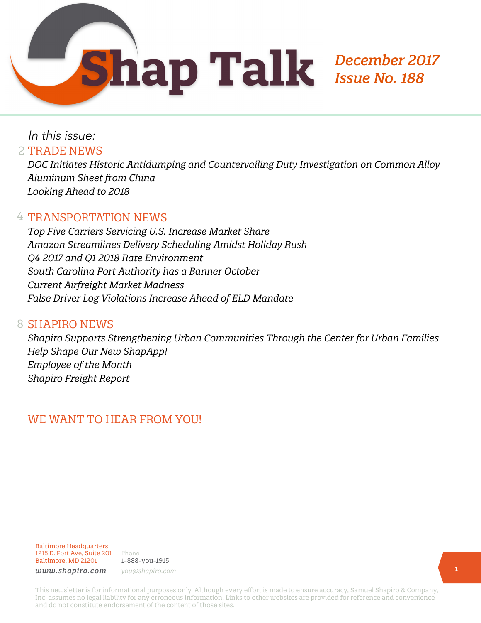In this issue: 2 TRADE NEWS

*DOC Initiates Historic Antidumping and Countervailing Duty Investigation on Common Alloy Aluminum Sheet from China Looking Ahead to 2018*

#### 4 TRANSPORTATION NEWS

*Top Five Carriers Servicing U.S. Increase Market Share Amazon Streamlines Delivery Scheduling Amidst Holiday Rush Q4 2017 and Q1 2018 Rate Environment South Carolina Port Authority has a Banner October Current Airfreight Market Madness False Driver Log Violations Increase Ahead of ELD Mandate*

#### 8 SHAPIRO NEWS

*Shapiro Supports Strengthening Urban Communities Through the Center for Urban Families Help Shape Our New ShapApp! Employee of the Month Shapiro Freight Report*

# WE WANT TO HEAR FROM YOU!

Baltimore Headquarters 1215 E. Fort Ave, Suite 201 Baltimore, MD 21201

Phone 1-888-you-1915 *www.shapiro.com you@shapiro.com*

This newsletter is for informational purposes only. Although every effort is made to ensure accuracy, Samuel Shapiro & Company, Inc. assumes no legal liability for any erroneous information. Links to other websites are provided for reference and convenience and do not constitute endorsement of the content of those sites.

*December 2017* 

*Issue No. 188*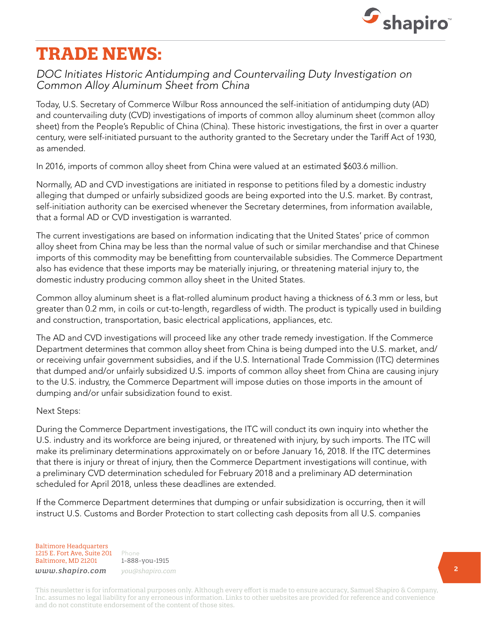

# **TRADE NEWS:**

#### *DOC Initiates Historic Antidumping and Countervailing Duty Investigation on Common Alloy Aluminum Sheet from China*

Today, U.S. Secretary of Commerce Wilbur Ross announced the self-initiation of antidumping duty (AD) and countervailing duty (CVD) investigations of imports of common alloy aluminum sheet (common alloy sheet) from the People's Republic of China (China). These historic investigations, the first in over a quarter century, were self-initiated pursuant to the authority granted to the Secretary under the Tariff Act of 1930, as amended.

In 2016, imports of common alloy sheet from China were valued at an estimated \$603.6 million.

Normally, AD and CVD investigations are initiated in response to petitions filed by a domestic industry alleging that dumped or unfairly subsidized goods are being exported into the U.S. market. By contrast, self-initiation authority can be exercised whenever the Secretary determines, from information available, that a formal AD or CVD investigation is warranted.

The current investigations are based on information indicating that the United States' price of common alloy sheet from China may be less than the normal value of such or similar merchandise and that Chinese imports of this commodity may be benefitting from countervailable subsidies. The Commerce Department also has evidence that these imports may be materially injuring, or threatening material injury to, the domestic industry producing common alloy sheet in the United States.

Common alloy aluminum sheet is a flat-rolled aluminum product having a thickness of 6.3 mm or less, but greater than 0.2 mm, in coils or cut-to-length, regardless of width. The product is typically used in building and construction, transportation, basic electrical applications, appliances, etc.

The AD and CVD investigations will proceed like any other trade remedy investigation. If the Commerce Department determines that common alloy sheet from China is being dumped into the U.S. market, and/ or receiving unfair government subsidies, and if the U.S. International Trade Commission (ITC) determines that dumped and/or unfairly subsidized U.S. imports of common alloy sheet from China are causing injury to the U.S. industry, the Commerce Department will impose duties on those imports in the amount of dumping and/or unfair subsidization found to exist.

#### Next Steps:

During the Commerce Department investigations, the ITC will conduct its own inquiry into whether the U.S. industry and its workforce are being injured, or threatened with injury, by such imports. The ITC will make its preliminary determinations approximately on or before January 16, 2018. If the ITC determines that there is injury or threat of injury, then the Commerce Department investigations will continue, with a preliminary CVD determination scheduled for February 2018 and a preliminary AD determination scheduled for April 2018, unless these deadlines are extended.

If the Commerce Department determines that dumping or unfair subsidization is occurring, then it will instruct U.S. Customs and Border Protection to start collecting cash deposits from all U.S. companies

Baltimore Headquarters 1215 E. Fort Ave, Suite 201 Baltimore, MD 21201 *www.shapiro.com you@shapiro.com*

Phone 1-888-you-1915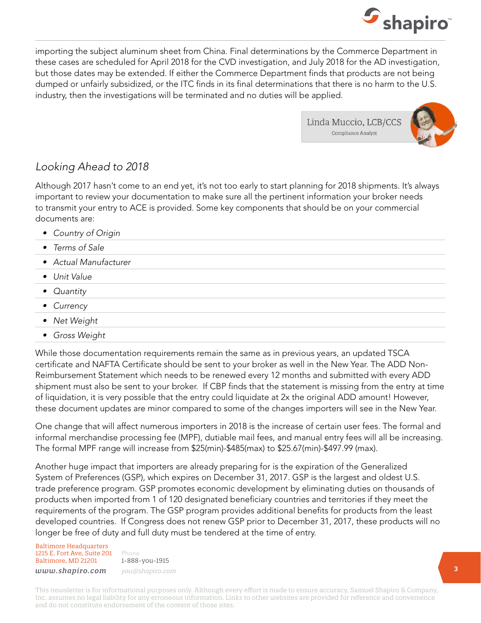

importing the subject aluminum sheet from China. Final determinations by the Commerce Department in these cases are scheduled for April 2018 for the CVD investigation, and July 2018 for the AD investigation, but those dates may be extended. If either the Commerce Department finds that products are not being dumped or unfairly subsidized, or the ITC finds in its final determinations that there is no harm to the U.S. industry, then the investigations will be terminated and no duties will be applied.

> Linda Muccio, LCB/CCS Compliance Analyst



#### *Looking Ahead to 2018*

Although 2017 hasn't come to an end yet, it's not too early to start planning for 2018 shipments. It's always important to review your documentation to make sure all the pertinent information your broker needs to transmit your entry to ACE is provided. Some key components that should be on your commercial documents are:

- *• Country of Origin*
- *• Terms of Sale*
- *• Actual Manufacturer*
- *• Unit Value*
- *• Quantity*
- *• Currency*
- *• Net Weight*
- *• Gross Weight*

While those documentation requirements remain the same as in previous years, an updated TSCA certificate and NAFTA Certificate should be sent to your broker as well in the New Year. The ADD Non-Reimbursement Statement which needs to be renewed every 12 months and submitted with every ADD shipment must also be sent to your broker. If CBP finds that the statement is missing from the entry at time of liquidation, it is very possible that the entry could liquidate at 2x the original ADD amount! However, these document updates are minor compared to some of the changes importers will see in the New Year.

One change that will affect numerous importers in 2018 is the increase of certain user fees. The formal and informal merchandise processing fee (MPF), dutiable mail fees, and manual entry fees will all be increasing. The formal MPF range will increase from \$25(min)-\$485(max) to \$25.67(min)-\$497.99 (max).

Another huge impact that importers are already preparing for is the expiration of the Generalized System of Preferences (GSP), which expires on December 31, 2017. GSP is the largest and oldest U.S. trade preference program. GSP promotes economic development by eliminating duties on thousands of products when imported from 1 of 120 designated beneficiary countries and territories if they meet the requirements of the program. The GSP program provides additional benefits for products from the least developed countries. If Congress does not renew GSP prior to December 31, 2017, these products will no longer be free of duty and full duty must be tendered at the time of entry.

Baltimore Headquarters 1215 E. Fort Ave, Suite 201 Baltimore, MD 21201

Phone 1-888-you-1915 *www.shapiro.com you@shapiro.com*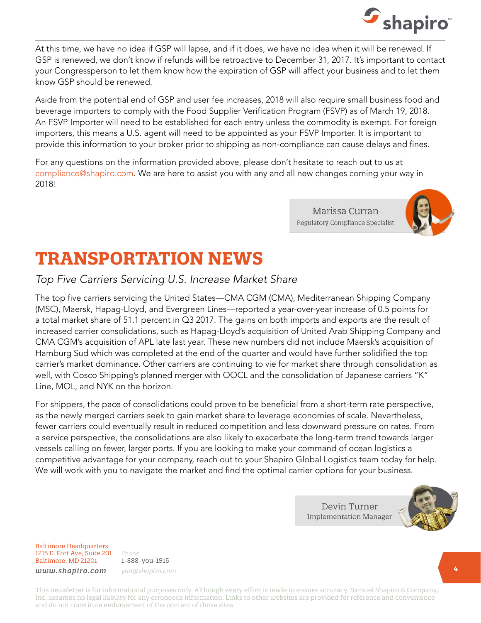

At this time, we have no idea if GSP will lapse, and if it does, we have no idea when it will be renewed. If GSP is renewed, we don't know if refunds will be retroactive to December 31, 2017. It's important to contact your Congressperson to let them know how the expiration of GSP will affect your business and to let them know GSP should be renewed.

Aside from the potential end of GSP and user fee increases, 2018 will also require small business food and beverage importers to comply with the Food Supplier Verification Program (FSVP) as of March 19, 2018. An FSVP Importer will need to be established for each entry unless the commodity is exempt. For foreign importers, this means a U.S. agent will need to be appointed as your FSVP Importer. It is important to provide this information to your broker prior to shipping as non-compliance can cause delays and fines.

For any questions on the information provided above, please don't hesitate to reach out to us at compliance@shapiro.com. We are here to assist you with any and all new changes coming your way in 2018!

> Marissa Curran Regulatory Compliance Specialist



# **TRANSPORTATION NEWS**

#### *Top Five Carriers Servicing U.S. Increase Market Share*

The top five carriers servicing the United States—CMA CGM (CMA), Mediterranean Shipping Company (MSC), Maersk, Hapag-Lloyd, and Evergreen Lines—reported a year-over-year increase of 0.5 points for a total market share of 51.1 percent in Q3 2017. The gains on both imports and exports are the result of increased carrier consolidations, such as Hapag-Lloyd's acquisition of United Arab Shipping Company and CMA CGM's acquisition of APL late last year. These new numbers did not include Maersk's acquisition of Hamburg Sud which was completed at the end of the quarter and would have further solidified the top carrier's market dominance. Other carriers are continuing to vie for market share through consolidation as well, with Cosco Shipping's planned merger with OOCL and the consolidation of Japanese carriers "K" Line, MOL, and NYK on the horizon.

For shippers, the pace of consolidations could prove to be beneficial from a short-term rate perspective, as the newly merged carriers seek to gain market share to leverage economies of scale. Nevertheless, fewer carriers could eventually result in reduced competition and less downward pressure on rates. From a service perspective, the consolidations are also likely to exacerbate the long-term trend towards larger vessels calling on fewer, larger ports. If you are looking to make your command of ocean logistics a competitive advantage for your company, reach out to your Shapiro Global Logistics team today for help. We will work with you to navigate the market and find the optimal carrier options for your business.

> Devin Turner **Implementation Manager**



Baltimore Headquarters 1215 E. Fort Ave, Suite 201 Baltimore, MD 21201

1-888-you-1915 *www.shapiro.com you@shapiro.com*

Phone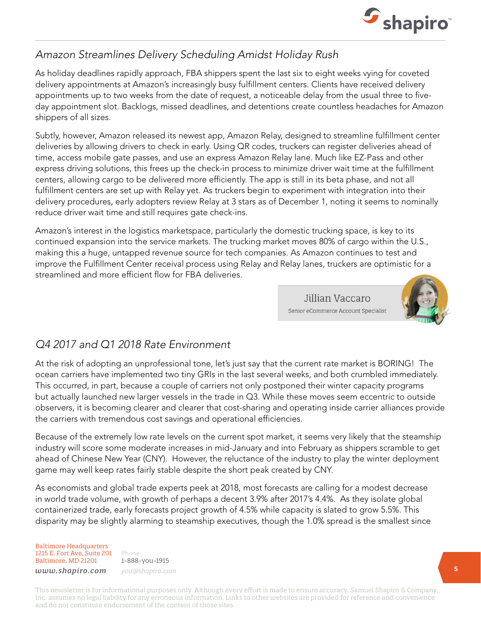

### *Amazon Streamlines Delivery Scheduling Amidst Holiday Rush*

As holiday deadlines rapidly approach, FBA shippers spent the last six to eight weeks vying for coveted delivery appointments at Amazon's increasingly busy fulfillment centers. Clients have received delivery appointments up to two weeks from the date of request, a noticeable delay from the usual three to fiveday appointment slot. Backlogs, missed deadlines, and detentions create countless headaches for Amazon shippers of all sizes.

Subtly, however, Amazon released its newest app, Amazon Relay, designed to streamline fulfillment center deliveries by allowing drivers to check in early. Using QR codes, truckers can register deliveries ahead of time, access mobile gate passes, and use an express Amazon Relay lane. Much like EZ-Pass and other express driving solutions, this frees up the check-in process to minimize driver wait time at the fulfillment centers, allowing cargo to be delivered more efficiently. The app is still in its beta phase, and not all fulfillment centers are set up with Relay yet. As truckers begin to experiment with integration into their delivery procedures, early adopters review Relay at 3 stars as of December 1, noting it seems to nominally reduce driver wait time and still requires gate check-ins.

Amazon's interest in the logistics marketspace, particularly the domestic trucking space, is key to its continued expansion into the service markets. The trucking market moves 80% of cargo within the U.S., making this a huge, untapped revenue source for tech companies. As Amazon continues to test and improve the Fulfillment Center receival process using Relay and Relay lanes, truckers are optimistic for a streamlined and more efficient flow for FBA deliveries.

> Jillian Vaccaro Senior eCommerce Account Specialist



# *Q4 2017 and Q1 2018 Rate Environment*

At the risk of adopting an unprofessional tone, let's just say that the current rate market is BORING! The ocean carriers have implemented two tiny GRIs in the last several weeks, and both crumbled immediately. This occurred, in part, because a couple of carriers not only postponed their winter capacity programs but actually launched new larger vessels in the trade in Q3. While these moves seem eccentric to outside observers, it is becoming clearer and clearer that cost-sharing and operating inside carrier alliances provide the carriers with tremendous cost savings and operational efficiencies.

Because of the extremely low rate levels on the current spot market, it seems very likely that the steamship industry will score some moderate increases in mid-January and into February as shippers scramble to get ahead of Chinese New Year (CNY). However, the reluctance of the industry to play the winter deployment game may well keep rates fairly stable despite the short peak created by CNY.

As economists and global trade experts peek at 2018, most forecasts are calling for a modest decrease in world trade volume, with growth of perhaps a decent 3.9% after 2017's 4.4%. As they isolate global containerized trade, early forecasts project growth of 4.5% while capacity is slated to grow 5.5%. This disparity may be slightly alarming to steamship executives, though the 1.0% spread is the smallest since

Baltimore Headquarters 1215 E. Fort Ave, Suite 201 Baltimore, MD 21201

Phone 1-888-you-1915 *www.shapiro.com you@shapiro.com*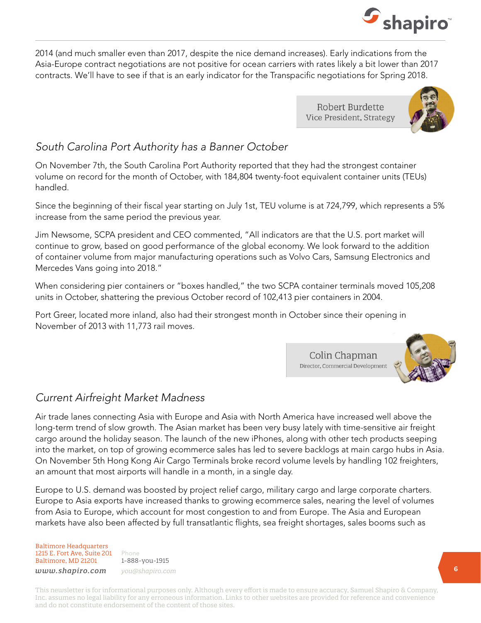

2014 (and much smaller even than 2017, despite the nice demand increases). Early indications from the Asia-Europe contract negotiations are not positive for ocean carriers with rates likely a bit lower than 2017 contracts. We'll have to see if that is an early indicator for the Transpacific negotiations for Spring 2018.

> Robert Burdette Vice President, Strategy

Colin Chapman Director, Commercial Development



### *South Carolina Port Authority has a Banner October*

On November 7th, the South Carolina Port Authority reported that they had the strongest container volume on record for the month of October, with 184,804 twenty-foot equivalent container units (TEUs) handled.

Since the beginning of their fiscal year starting on July 1st, TEU volume is at 724,799, which represents a 5% increase from the same period the previous year.

Jim Newsome, SCPA president and CEO commented, "All indicators are that the U.S. port market will continue to grow, based on good performance of the global economy. We look forward to the addition of container volume from major manufacturing operations such as Volvo Cars, Samsung Electronics and Mercedes Vans going into 2018."

When considering pier containers or "boxes handled," the two SCPA container terminals moved 105,208 units in October, shattering the previous October record of 102,413 pier containers in 2004.

Port Greer, located more inland, also had their strongest month in October since their opening in November of 2013 with 11,773 rail moves.

#### *Current Airfreight Market Madness*

Air trade lanes connecting Asia with Europe and Asia with North America have increased well above the long-term trend of slow growth. The Asian market has been very busy lately with time-sensitive air freight cargo around the holiday season. The launch of the new iPhones, along with other tech products seeping into the market, on top of growing ecommerce sales has led to severe backlogs at main cargo hubs in Asia. On November 5th Hong Kong Air Cargo Terminals broke record volume levels by handling 102 freighters, an amount that most airports will handle in a month, in a single day.

Europe to U.S. demand was boosted by project relief cargo, military cargo and large corporate charters. Europe to Asia exports have increased thanks to growing ecommerce sales, nearing the level of volumes from Asia to Europe, which account for most congestion to and from Europe. The Asia and European markets have also been affected by full transatlantic flights, sea freight shortages, sales booms such as

Baltimore Headquarters 1215 E. Fort Ave, Suite 201 Baltimore, MD 21201

Phone 1-888-you-1915 *www.shapiro.com you@shapiro.com*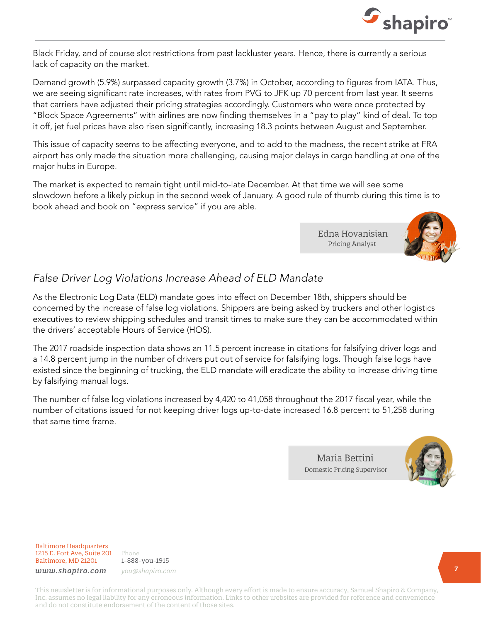

Black Friday, and of course slot restrictions from past lackluster years. Hence, there is currently a serious lack of capacity on the market.

Demand growth (5.9%) surpassed capacity growth (3.7%) in October, according to figures from IATA. Thus, we are seeing significant rate increases, with rates from PVG to JFK up 70 percent from last year. It seems that carriers have adjusted their pricing strategies accordingly. Customers who were once protected by "Block Space Agreements" with airlines are now finding themselves in a "pay to play" kind of deal. To top it off, jet fuel prices have also risen significantly, increasing 18.3 points between August and September.

This issue of capacity seems to be affecting everyone, and to add to the madness, the recent strike at FRA airport has only made the situation more challenging, causing major delays in cargo handling at one of the major hubs in Europe.

The market is expected to remain tight until mid-to-late December. At that time we will see some slowdown before a likely pickup in the second week of January. A good rule of thumb during this time is to book ahead and book on "express service" if you are able.

> Edna Hovanisian **Pricing Analyst**



#### *False Driver Log Violations Increase Ahead of ELD Mandate*

As the Electronic Log Data (ELD) mandate goes into effect on December 18th, shippers should be concerned by the increase of false log violations. Shippers are being asked by truckers and other logistics executives to review shipping schedules and transit times to make sure they can be accommodated within the drivers' acceptable Hours of Service (HOS).

The 2017 roadside inspection data shows an 11.5 percent increase in citations for falsifying driver logs and a 14.8 percent jump in the number of drivers put out of service for falsifying logs. Though false logs have existed since the beginning of trucking, the ELD mandate will eradicate the ability to increase driving time by falsifying manual logs.

The number of false log violations increased by 4,420 to 41,058 throughout the 2017 fiscal year, while the number of citations issued for not keeping driver logs up-to-date increased 16.8 percent to 51,258 during that same time frame.

> Maria Bettini **Domestic Pricing Supervisor**



Baltimore Headquarters 1215 E. Fort Ave, Suite 201 Baltimore, MD 21201

Phone 1-888-you-1915 *www.shapiro.com you@shapiro.com*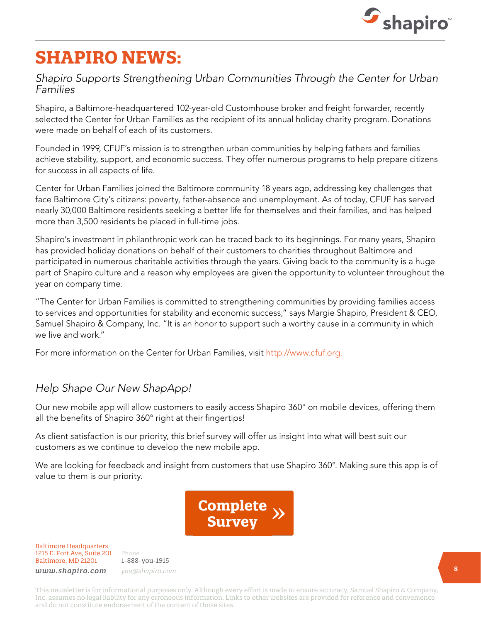

# **SHAPIRO NEWS:**

#### *Shapiro Supports Strengthening Urban Communities Through the Center for Urban Families*

Shapiro, a Baltimore-headquartered 102-year-old Customhouse broker and freight forwarder, recently selected the Center for Urban Families as the recipient of its annual holiday charity program. Donations were made on behalf of each of its customers.

Founded in 1999, CFUF's mission is to strengthen urban communities by helping fathers and families achieve stability, support, and economic success. They offer numerous programs to help prepare citizens for success in all aspects of life.

Center for Urban Families joined the Baltimore community 18 years ago, addressing key challenges that face Baltimore City's citizens: poverty, father-absence and unemployment. As of today, CFUF has served nearly 30,000 Baltimore residents seeking a better life for themselves and their families, and has helped more than 3,500 residents be placed in full-time jobs.

Shapiro's investment in philanthropic work can be traced back to its beginnings. For many years, Shapiro has provided holiday donations on behalf of their customers to charities throughout Baltimore and participated in numerous charitable activities through the years. Giving back to the community is a huge part of Shapiro culture and a reason why employees are given the opportunity to volunteer throughout the year on company time.

"The Center for Urban Families is committed to strengthening communities by providing families access to services and opportunities for stability and economic success," says Margie Shapiro, President & CEO, Samuel Shapiro & Company, Inc. "It is an honor to support such a worthy cause in a community in which we live and work."

For more information on the Center for Urban Families, visit http://www.cfuf.org.

# *Help Shape Our New ShapApp!*

Our new mobile app will allow customers to easily access Shapiro 360° on mobile devices, offering them all the benefits of Shapiro 360° right at their fingertips!

As client satisfaction is our priority, this brief survey will offer us insight into what will best suit our customers as we continue to develop the new mobile app.

We are looking for feedback and insight from customers that use Shapiro 360°. Making sure this app is of value to them is our priority.



Baltimore Headquarters 1215 E. Fort Ave, Suite 201 Baltimore, MD 21201

Phone 1-888-you-1915 *www.shapiro.com you@shapiro.com*